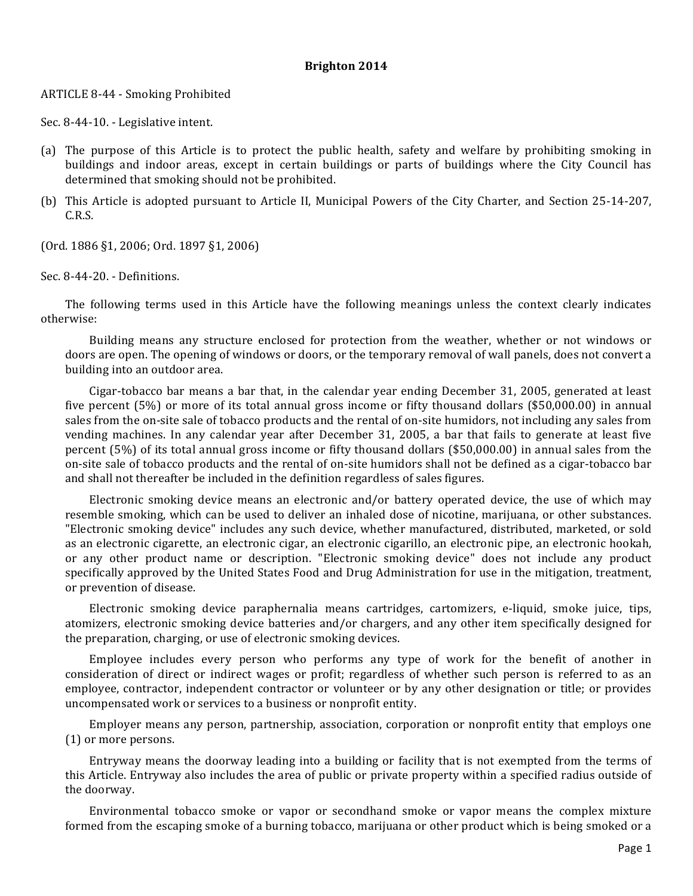## **Brighton 2014**

## ARTICLE 8-44 - Smoking Prohibited

Sec. 8-44-10. - Legislative intent.

- (a) The purpose of this Article is to protect the public health, safety and welfare by prohibiting smoking in buildings and indoor areas, except in certain buildings or parts of buildings where the City Council has determined that smoking should not be prohibited.
- (b) This Article is adopted pursuant to Article II, Municipal Powers of the City Charter, and Section 25-14-207, C.R.S.

(Ord. 1886 §1, 2006; Ord. 1897 §1, 2006)

Sec. 8-44-20. - Definitions.

The following terms used in this Article have the following meanings unless the context clearly indicates otherwise: 

Building means any structure enclosed for protection from the weather, whether or not windows or doors are open. The opening of windows or doors, or the temporary removal of wall panels, does not convert a building into an outdoor area.

Cigar-tobacco bar means a bar that, in the calendar year ending December 31, 2005, generated at least five percent  $(5\%)$  or more of its total annual gross income or fifty thousand dollars  $(\$50,000.00)$  in annual sales from the on-site sale of tobacco products and the rental of on-site humidors, not including any sales from vending machines. In any calendar year after December 31, 2005, a bar that fails to generate at least five percent  $(5%)$  of its total annual gross income or fifty thousand dollars  $(\$50,000.00)$  in annual sales from the on-site sale of tobacco products and the rental of on-site humidors shall not be defined as a cigar-tobacco bar and shall not thereafter be included in the definition regardless of sales figures.

Electronic smoking device means an electronic and/or battery operated device, the use of which may resemble smoking, which can be used to deliver an inhaled dose of nicotine, marijuana, or other substances. "Electronic smoking device" includes any such device, whether manufactured, distributed, marketed, or sold as an electronic cigarette, an electronic cigar, an electronic cigarillo, an electronic pipe, an electronic hookah, or any other product name or description. "Electronic smoking device" does not include any product specifically approved by the United States Food and Drug Administration for use in the mitigation, treatment, or prevention of disease.

Electronic smoking device paraphernalia means cartridges, cartomizers, e-liquid, smoke juice, tips, atomizers, electronic smoking device batteries and/or chargers, and any other item specifically designed for the preparation, charging, or use of electronic smoking devices.

Employee includes every person who performs any type of work for the benefit of another in consideration of direct or indirect wages or profit; regardless of whether such person is referred to as an employee, contractor, independent contractor or volunteer or by any other designation or title; or provides uncompensated work or services to a business or nonprofit entity.

Employer means any person, partnership, association, corporation or nonprofit entity that employs one  $(1)$  or more persons.

Entryway means the doorway leading into a building or facility that is not exempted from the terms of this Article. Entryway also includes the area of public or private property within a specified radius outside of the doorway.

Environmental tobacco smoke or vapor or secondhand smoke or vapor means the complex mixture formed from the escaping smoke of a burning tobacco, marijuana or other product which is being smoked or a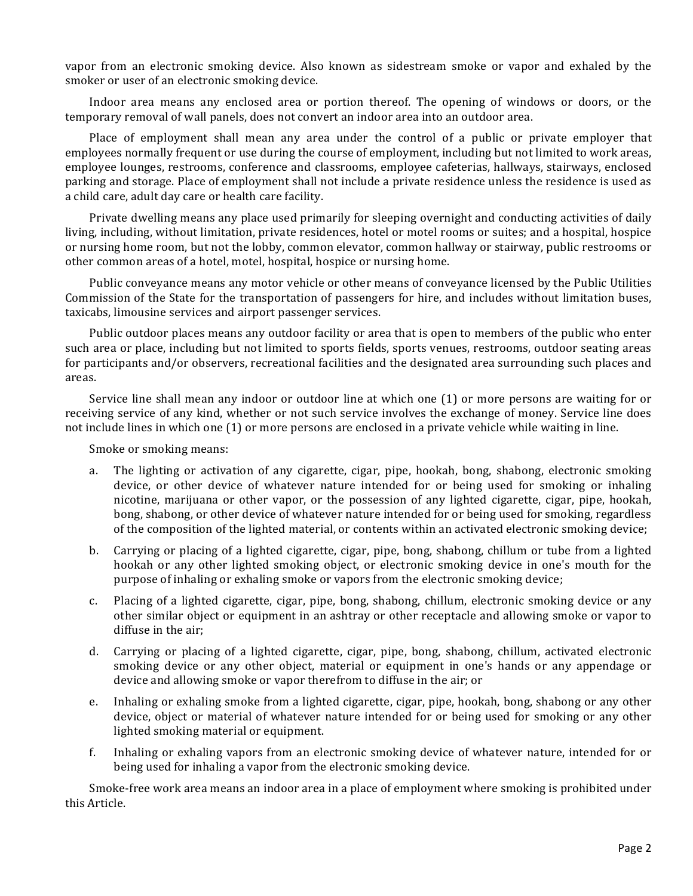vapor from an electronic smoking device. Also known as sidestream smoke or vapor and exhaled by the smoker or user of an electronic smoking device.

Indoor area means any enclosed area or portion thereof. The opening of windows or doors, or the temporary removal of wall panels, does not convert an indoor area into an outdoor area.

Place of employment shall mean any area under the control of a public or private employer that employees normally frequent or use during the course of employment, including but not limited to work areas, employee lounges, restrooms, conference and classrooms, employee cafeterias, hallways, stairways, enclosed parking and storage. Place of employment shall not include a private residence unless the residence is used as a child care, adult day care or health care facility.

Private dwelling means any place used primarily for sleeping overnight and conducting activities of daily living, including, without limitation, private residences, hotel or motel rooms or suites; and a hospital, hospice or nursing home room, but not the lobby, common elevator, common hallway or stairway, public restrooms or other common areas of a hotel, motel, hospital, hospice or nursing home.

Public conveyance means any motor vehicle or other means of conveyance licensed by the Public Utilities Commission of the State for the transportation of passengers for hire, and includes without limitation buses, taxicabs, limousine services and airport passenger services.

Public outdoor places means any outdoor facility or area that is open to members of the public who enter such area or place, including but not limited to sports fields, sports venues, restrooms, outdoor seating areas for participants and/or observers, recreational facilities and the designated area surrounding such places and areas. 

Service line shall mean any indoor or outdoor line at which one  $(1)$  or more persons are waiting for or receiving service of any kind, whether or not such service involves the exchange of money. Service line does not include lines in which one (1) or more persons are enclosed in a private vehicle while waiting in line.

Smoke or smoking means:

- a. The lighting or activation of any cigarette, cigar, pipe, hookah, bong, shabong, electronic smoking device, or other device of whatever nature intended for or being used for smoking or inhaling nicotine, marijuana or other vapor, or the possession of any lighted cigarette, cigar, pipe, hookah, bong, shabong, or other device of whatever nature intended for or being used for smoking, regardless of the composition of the lighted material, or contents within an activated electronic smoking device;
- b. Carrying or placing of a lighted cigarette, cigar, pipe, bong, shabong, chillum or tube from a lighted hookah or any other lighted smoking object, or electronic smoking device in one's mouth for the purpose of inhaling or exhaling smoke or vapors from the electronic smoking device;
- c. Placing of a lighted cigarette, cigar, pipe, bong, shabong, chillum, electronic smoking device or any other similar object or equipment in an ashtray or other receptacle and allowing smoke or vapor to diffuse in the air;
- d. Carrying or placing of a lighted cigarette, cigar, pipe, bong, shabong, chillum, activated electronic smoking device or any other object, material or equipment in one's hands or any appendage or device and allowing smoke or vapor therefrom to diffuse in the air; or
- e. Inhaling or exhaling smoke from a lighted cigarette, cigar, pipe, hookah, bong, shabong or any other device, object or material of whatever nature intended for or being used for smoking or any other lighted smoking material or equipment.
- f. Inhaling or exhaling vapors from an electronic smoking device of whatever nature, intended for or being used for inhaling a vapor from the electronic smoking device.

Smoke-free work area means an indoor area in a place of employment where smoking is prohibited under this Article.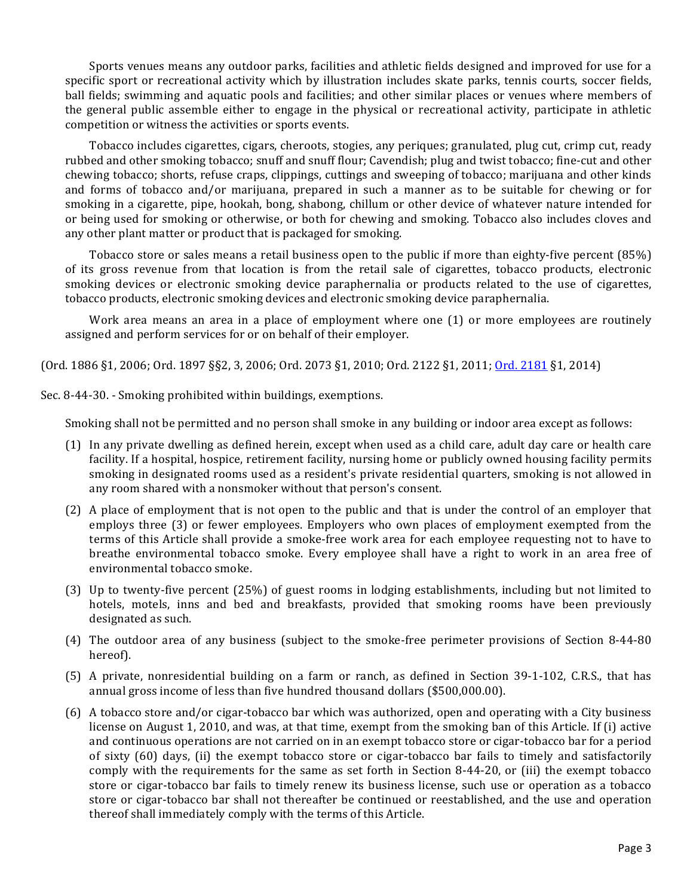Sports venues means any outdoor parks, facilities and athletic fields designed and improved for use for a specific sport or recreational activity which by illustration includes skate parks, tennis courts, soccer fields, ball fields; swimming and aquatic pools and facilities; and other similar places or venues where members of the general public assemble either to engage in the physical or recreational activity, participate in athletic competition or witness the activities or sports events.

Tobacco includes cigarettes, cigars, cheroots, stogies, any periques; granulated, plug cut, crimp cut, ready rubbed and other smoking tobacco; snuff and snuff flour; Cavendish; plug and twist tobacco; fine-cut and other chewing tobacco; shorts, refuse craps, clippings, cuttings and sweeping of tobacco; marijuana and other kinds and forms of tobacco and/or marijuana, prepared in such a manner as to be suitable for chewing or for smoking in a cigarette, pipe, hookah, bong, shabong, chillum or other device of whatever nature intended for or being used for smoking or otherwise, or both for chewing and smoking. Tobacco also includes cloves and any other plant matter or product that is packaged for smoking.

Tobacco store or sales means a retail business open to the public if more than eighty-five percent (85%) of its gross revenue from that location is from the retail sale of cigarettes, tobacco products, electronic smoking devices or electronic smoking device paraphernalia or products related to the use of cigarettes, tobacco products, electronic smoking devices and electronic smoking device paraphernalia.

Work area means an area in a place of employment where one  $(1)$  or more employees are routinely assigned and perform services for or on behalf of their employer.

(Ord. 1886 §1, 2006; Ord. 1897 §§2, 3, 2006; Ord. 2073 §1, 2010; Ord. 2122 §1, 2011; Ord. 2181 §1, 2014)

Sec. 8-44-30. - Smoking prohibited within buildings, exemptions.

Smoking shall not be permitted and no person shall smoke in any building or indoor area except as follows:

- (1) In any private dwelling as defined herein, except when used as a child care, adult day care or health care facility. If a hospital, hospice, retirement facility, nursing home or publicly owned housing facility permits smoking in designated rooms used as a resident's private residential quarters, smoking is not allowed in any room shared with a nonsmoker without that person's consent.
- (2) A place of employment that is not open to the public and that is under the control of an employer that employs three (3) or fewer employees. Employers who own places of employment exempted from the terms of this Article shall provide a smoke-free work area for each employee requesting not to have to breathe environmental tobacco smoke. Every employee shall have a right to work in an area free of environmental tobacco smoke.
- (3) Up to twenty-five percent  $(25%)$  of guest rooms in lodging establishments, including but not limited to hotels, motels, inns and bed and breakfasts, provided that smoking rooms have been previously designated as such.
- (4) The outdoor area of any business (subject to the smoke-free perimeter provisions of Section 8-44-80 hereof).
- (5) A private, nonresidential building on a farm or ranch, as defined in Section 39-1-102, C.R.S., that has annual gross income of less than five hundred thousand dollars (\$500,000.00).
- (6) A tobacco store and/or cigar-tobacco bar which was authorized, open and operating with a City business license on August 1, 2010, and was, at that time, exempt from the smoking ban of this Article. If (i) active and continuous operations are not carried on in an exempt tobacco store or cigar-tobacco bar for a period of sixty  $(60)$  days,  $(ii)$  the exempt tobacco store or cigar-tobacco bar fails to timely and satisfactorily comply with the requirements for the same as set forth in Section  $8-44-20$ , or (iii) the exempt tobacco store or cigar-tobacco bar fails to timely renew its business license, such use or operation as a tobacco store or cigar-tobacco bar shall not thereafter be continued or reestablished, and the use and operation thereof shall immediately comply with the terms of this Article.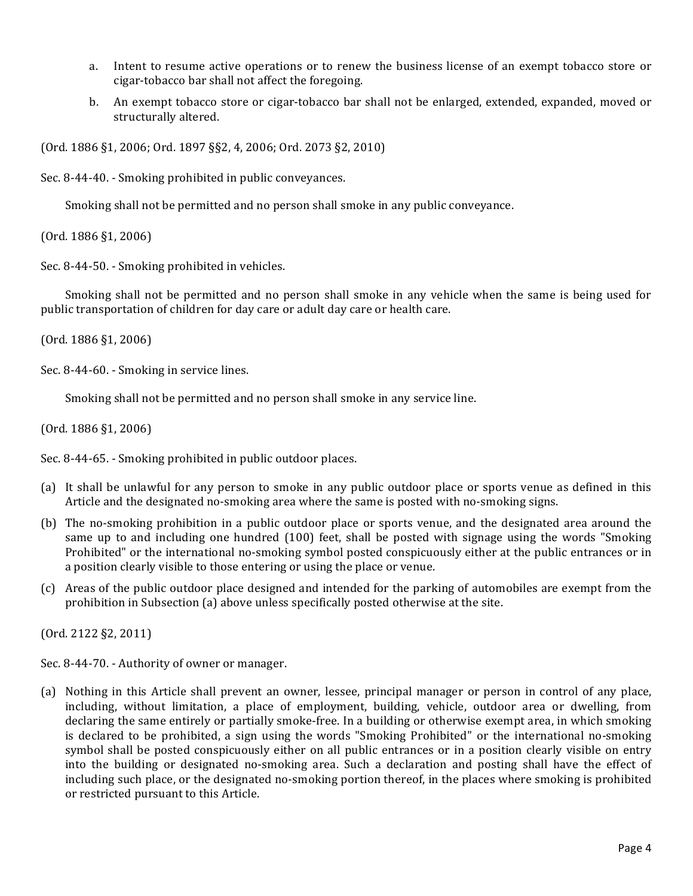- a. Intent to resume active operations or to renew the business license of an exempt tobacco store or cigar-tobacco bar shall not affect the foregoing.
- b. An exempt tobacco store or cigar-tobacco bar shall not be enlarged, extended, expanded, moved or structurally altered.

(Ord. 1886 §1, 2006; Ord. 1897 §§2, 4, 2006; Ord. 2073 §2, 2010)

Sec. 8-44-40. - Smoking prohibited in public conveyances.

Smoking shall not be permitted and no person shall smoke in any public conveyance.

 $(Ord. 1886 §1, 2006)$ 

Sec. 8-44-50. - Smoking prohibited in vehicles.

Smoking shall not be permitted and no person shall smoke in any vehicle when the same is being used for public transportation of children for day care or adult day care or health care.

 $(0rd. 1886 §1, 2006)$ 

Sec. 8-44-60. - Smoking in service lines.

Smoking shall not be permitted and no person shall smoke in any service line.

 $(Ord. 1886 §1, 2006)$ 

Sec. 8-44-65. - Smoking prohibited in public outdoor places.

- (a) It shall be unlawful for any person to smoke in any public outdoor place or sports venue as defined in this Article and the designated no-smoking area where the same is posted with no-smoking signs.
- (b) The no-smoking prohibition in a public outdoor place or sports venue, and the designated area around the same up to and including one hundred  $(100)$  feet, shall be posted with signage using the words "Smoking Prohibited" or the international no-smoking symbol posted conspicuously either at the public entrances or in a position clearly visible to those entering or using the place or venue.
- (c) Areas of the public outdoor place designed and intended for the parking of automobiles are exempt from the prohibition in Subsection  $(a)$  above unless specifically posted otherwise at the site.

(Ord. 2122 §2, 2011)

Sec. 8-44-70. - Authority of owner or manager.

(a) Nothing in this Article shall prevent an owner, lessee, principal manager or person in control of any place, including, without limitation, a place of employment, building, vehicle, outdoor area or dwelling, from declaring the same entirely or partially smoke-free. In a building or otherwise exempt area, in which smoking is declared to be prohibited, a sign using the words "Smoking Prohibited" or the international no-smoking symbol shall be posted conspicuously either on all public entrances or in a position clearly visible on entry into the building or designated no-smoking area. Such a declaration and posting shall have the effect of including such place, or the designated no-smoking portion thereof, in the places where smoking is prohibited or restricted pursuant to this Article.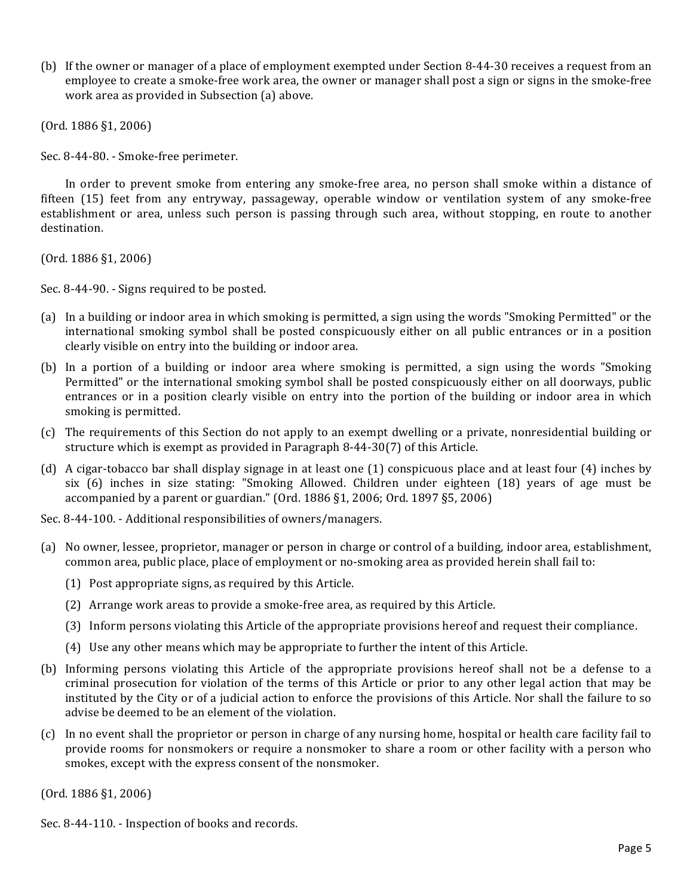(b) If the owner or manager of a place of employment exempted under Section 8-44-30 receives a request from an employee to create a smoke-free work area, the owner or manager shall post a sign or signs in the smoke-free work area as provided in Subsection (a) above.

(Ord. 1886 §1, 2006)

Sec. 8-44-80. - Smoke-free perimeter.

In order to prevent smoke from entering any smoke-free area, no person shall smoke within a distance of fifteen (15) feet from any entryway, passageway, operable window or ventilation system of any smoke-free establishment or area, unless such person is passing through such area, without stopping, en route to another destination. 

(Ord. 1886 §1, 2006)

Sec. 8-44-90. - Signs required to be posted.

- (a) In a building or indoor area in which smoking is permitted, a sign using the words "Smoking Permitted" or the international smoking symbol shall be posted conspicuously either on all public entrances or in a position clearly visible on entry into the building or indoor area.
- (b) In a portion of a building or indoor area where smoking is permitted, a sign using the words "Smoking Permitted" or the international smoking symbol shall be posted conspicuously either on all doorways, public entrances or in a position clearly visible on entry into the portion of the building or indoor area in which smoking is permitted.
- (c) The requirements of this Section do not apply to an exempt dwelling or a private, nonresidential building or structure which is exempt as provided in Paragraph  $8-44-30(7)$  of this Article.
- (d) A cigar-tobacco bar shall display signage in at least one  $(1)$  conspicuous place and at least four  $(4)$  inches by six (6) inches in size stating: "Smoking Allowed. Children under eighteen (18) years of age must be accompanied by a parent or guardian." (Ord.  $1886$   $\S1$ , 2006; Ord.  $1897$   $\S5$ , 2006)

Sec. 8-44-100. - Additional responsibilities of owners/managers.

- (a) No owner, lessee, proprietor, manager or person in charge or control of a building, indoor area, establishment, common area, public place, place of employment or no-smoking area as provided herein shall fail to:
	- (1) Post appropriate signs, as required by this Article.
	- (2) Arrange work areas to provide a smoke-free area, as required by this Article.
	- (3) Inform persons violating this Article of the appropriate provisions hereof and request their compliance.
	- (4) Use any other means which may be appropriate to further the intent of this Article.
- (b) Informing persons violating this Article of the appropriate provisions hereof shall not be a defense to a criminal prosecution for violation of the terms of this Article or prior to any other legal action that may be instituted by the City or of a judicial action to enforce the provisions of this Article. Nor shall the failure to so advise be deemed to be an element of the violation.
- (c) In no event shall the proprietor or person in charge of any nursing home, hospital or health care facility fail to provide rooms for nonsmokers or require a nonsmoker to share a room or other facility with a person who smokes, except with the express consent of the nonsmoker.

 $(Ord. 1886 §1, 2006)$ 

Sec. 8-44-110. - Inspection of books and records.